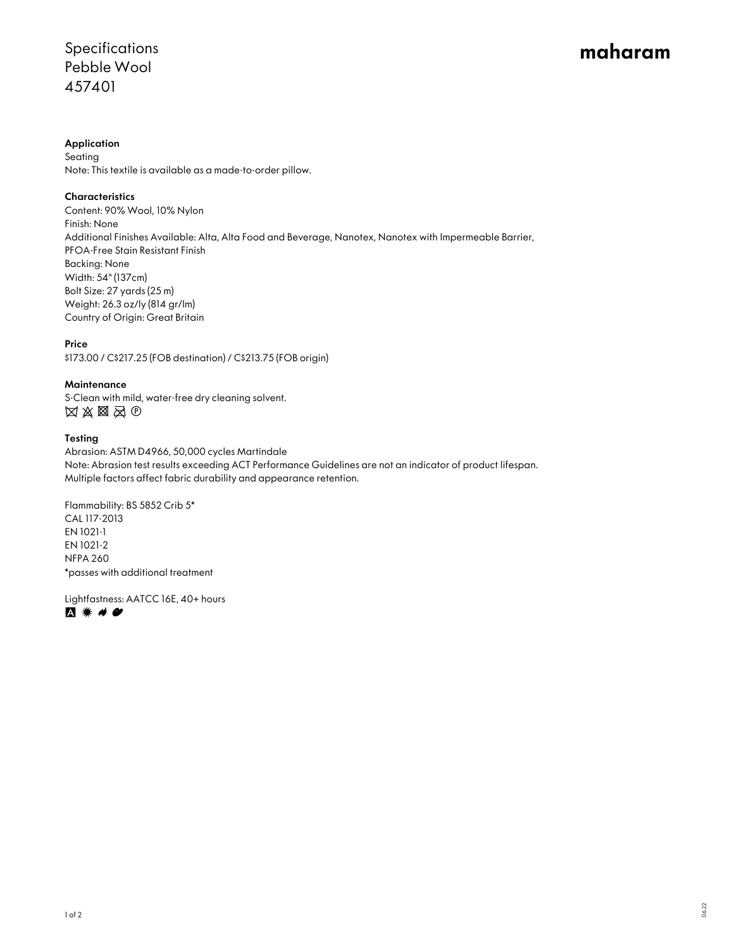# Specifications Pebble Wool 457401

# maharam

## Application

Seating Note: This textile is available as a made-to-order pillow.

# **Characteristics**

Content: 90% Wool, 10% Nylon Finish: None Additional Finishes Available: Alta, Alta Food and Beverage, Nanotex, Nanotex with Impermeable Barrier, PFOA-Free Stain Resistant Finish Backing: None Width: 54" (137cm) Bolt Size: 27 yards (25 m) Weight: 26.3 oz/ly (814 gr/lm) Country of Origin: Great Britain

## Price

\$173.00 / C\$217.25 (FOB destination) / C\$213.75 (FOB origin)

#### **Maintenance**

S-Clean with mild, water-free dry cleaning solvent.  $\boxtimes \boxtimes \boxtimes \boxtimes \oplus$ 

#### Testing

Abrasion: ASTM D4966, 50,000 cycles Martindale Note: Abrasion test results exceeding ACT Performance Guidelines are not an indicator of product lifespan. Multiple factors affect fabric durability and appearance retention.

Flammability: BS 5852 Crib 5\* CAL 117-2013 EN 1021-1 EN 1021-2 NFPA 260 \*passes with additional treatment

Lightfastness: AATCC 16E, 40+ hours A <sub>\*</sub> # #